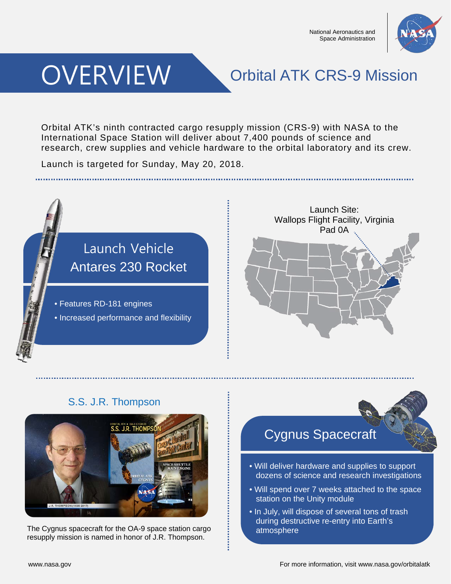

# **OVERVIEW**

### Orbital ATK CRS-9 Mission

Orbital ATK's ninth contracted cargo resupply mission (CRS-9) with NASA to the International Space Station will deliver about 7,400 pounds of science and research, crew supplies and vehicle hardware to the orbital laboratory and its crew.

Launch is targeted for Sunday, May 20, 2018.



### S.S. J.R. Thompson



The Cygnus spacecraft for the OA-9 space station cargo resupply mission is named in honor of J.R. Thompson.



- Will deliver hardware and supplies to support dozens of science and research investigations
- Will spend over 7 weeks attached to the space station on the Unity module
- In July, will dispose of several tons of trash during destructive re-entry into Earth's atmosphere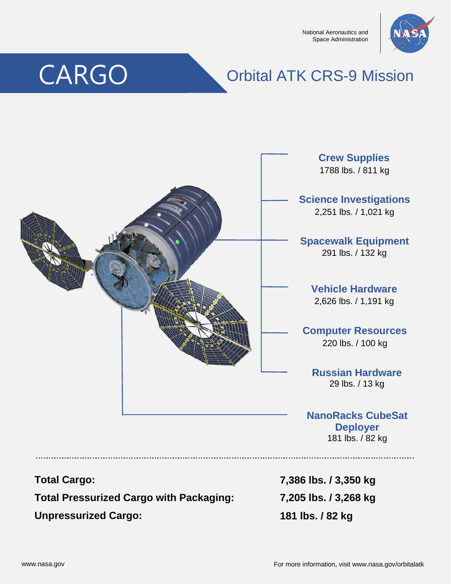National Aeronautics and Space Administration



# CARGO

### Orbital ATK CRS-9 Mission



**Total Cargo:**

**Total Pressurized Cargo with Packaging:**

**Unpressurized Cargo:**

**7,386 lbs. / 3,350 kg 7,205 lbs. / 3,268 kg 181 lbs. / 82 kg**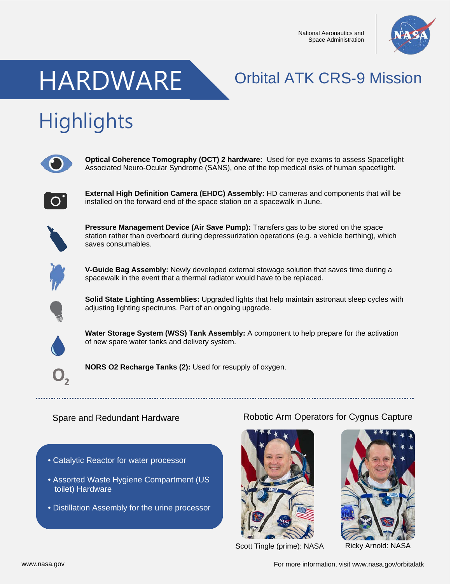National Aeronautics and Space Administration



## HARDWARE Orbital ATK CRS-9 Mission

# **Highlights**



**Optical Coherence Tomography (OCT) 2 hardware:** Used for eye exams to assess Spaceflight Associated Neuro-Ocular Syndrome (SANS), one of the top medical risks of human spaceflight.



**External High Definition Camera (EHDC) Assembly:** HD cameras and components that will be installed on the forward end of the space station on a spacewalk in June.



**Pressure Management Device (Air Save Pump):** Transfers gas to be stored on the space station rather than overboard during depressurization operations (e.g. a vehicle berthing), which saves consumables.



**V-Guide Bag Assembly:** Newly developed external stowage solution that saves time during a spacewalk in the event that a thermal radiator would have to be replaced.



**Solid State Lighting Assemblies:** Upgraded lights that help maintain astronaut sleep cycles with adjusting lighting spectrums. Part of an ongoing upgrade.



**Water Storage System (WSS) Tank Assembly:** A component to help prepare for the activation of new spare water tanks and delivery system.



**NORS O2 Recharge Tanks (2):** Used for resupply of oxygen.

#### Spare and Redundant Hardware

- Catalytic Reactor for water processor
- Assorted Waste Hygiene Compartment (US toilet) Hardware
- Distillation Assembly for the urine processor

#### Robotic Arm Operators for Cygnus Capture





Scott Tingle (prime): NASA

Ricky Arnold: NASA